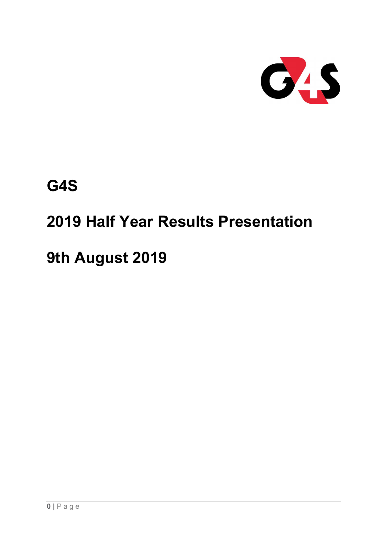

# G4S

# 2019 Half Year Results Presentation

# 9th August 2019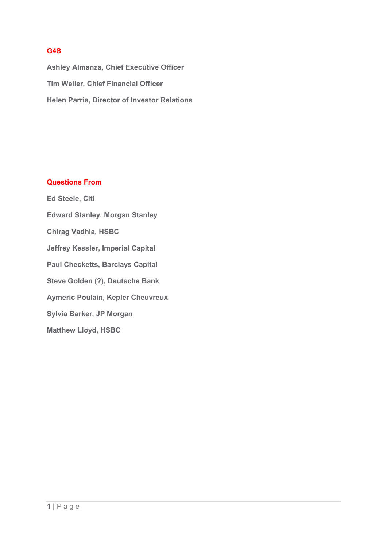### G4S

 Ashley Almanza, Chief Executive Officer Tim Weller, Chief Financial Officer Helen Parris, Director of Investor Relations

### Questions From

 Ed Steele, Citi Edward Stanley, Morgan Stanley Chirag Vadhia, HSBC Jeffrey Kessler, Imperial Capital Paul Checketts, Barclays Capital Steve Golden (?), Deutsche Bank Aymeric Poulain, Kepler Cheuvreux Sylvia Barker, JP Morgan Matthew Lloyd, HSBC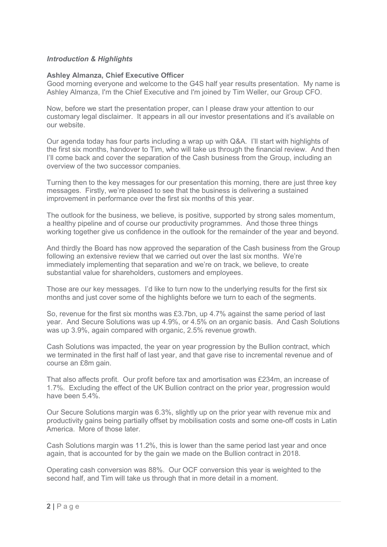### Introduction & Highlights

### Ashley Almanza, Chief Executive Officer

 Good morning everyone and welcome to the G4S half year results presentation. My name is Ashley Almanza, I'm the Chief Executive and I'm joined by Tim Weller, our Group CFO.

 Now, before we start the presentation proper, can I please draw your attention to our customary legal disclaimer. It appears in all our investor presentations and it's available on our website.

 Our agenda today has four parts including a wrap up with Q&A. I'll start with highlights of the first six months, handover to Tim, who will take us through the financial review. And then I'll come back and cover the separation of the Cash business from the Group, including an overview of the two successor companies.

 Turning then to the key messages for our presentation this morning, there are just three key messages. Firstly, we're pleased to see that the business is delivering a sustained improvement in performance over the first six months of this year.

 The outlook for the business, we believe, is positive, supported by strong sales momentum, a healthy pipeline and of course our productivity programmes. And those three things working together give us confidence in the outlook for the remainder of the year and beyond.

 And thirdly the Board has now approved the separation of the Cash business from the Group following an extensive review that we carried out over the last six months. We're immediately implementing that separation and we're on track, we believe, to create substantial value for shareholders, customers and employees.

 Those are our key messages. I'd like to turn now to the underlying results for the first six months and just cover some of the highlights before we turn to each of the segments.

 So, revenue for the first six months was £3.7bn, up 4.7% against the same period of last year. And Secure Solutions was up 4.9%, or 4.5% on an organic basis. And Cash Solutions was up 3.9%, again compared with organic, 2.5% revenue growth.

 Cash Solutions was impacted, the year on year progression by the Bullion contract, which we terminated in the first half of last year, and that gave rise to incremental revenue and of course an £8m gain.

 That also affects profit. Our profit before tax and amortisation was £234m, an increase of 1.7%. Excluding the effect of the UK Bullion contract on the prior year, progression would have been 5.4%.

 Our Secure Solutions margin was 6.3%, slightly up on the prior year with revenue mix and productivity gains being partially offset by mobilisation costs and some one-off costs in Latin America. More of those later.

 Cash Solutions margin was 11.2%, this is lower than the same period last year and once again, that is accounted for by the gain we made on the Bullion contract in 2018.

 Operating cash conversion was 88%. Our OCF conversion this year is weighted to the second half, and Tim will take us through that in more detail in a moment.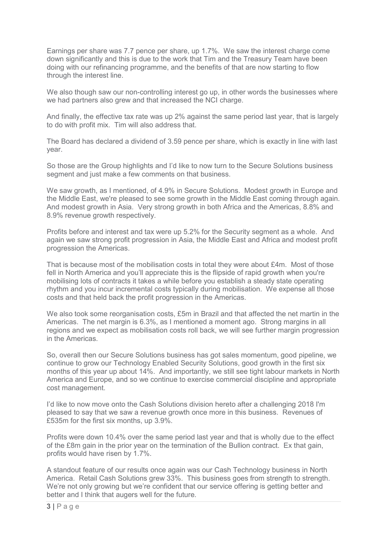Earnings per share was 7.7 pence per share, up 1.7%. We saw the interest charge come down significantly and this is due to the work that Tim and the Treasury Team have been doing with our refinancing programme, and the benefits of that are now starting to flow through the interest line.

 We also though saw our non-controlling interest go up, in other words the businesses where we had partners also grew and that increased the NCI charge.

 And finally, the effective tax rate was up 2% against the same period last year, that is largely to do with profit mix. Tim will also address that.

 The Board has declared a dividend of 3.59 pence per share, which is exactly in line with last year.

 So those are the Group highlights and I'd like to now turn to the Secure Solutions business segment and just make a few comments on that business.

 We saw growth, as I mentioned, of 4.9% in Secure Solutions. Modest growth in Europe and the Middle East, we're pleased to see some growth in the Middle East coming through again. And modest growth in Asia. Very strong growth in both Africa and the Americas, 8.8% and 8.9% revenue growth respectively.

 Profits before and interest and tax were up 5.2% for the Security segment as a whole. And again we saw strong profit progression in Asia, the Middle East and Africa and modest profit progression the Americas.

 That is because most of the mobilisation costs in total they were about £4m. Most of those fell in North America and you'll appreciate this is the flipside of rapid growth when you're mobilising lots of contracts it takes a while before you establish a steady state operating rhythm and you incur incremental costs typically during mobilisation. We expense all those costs and that held back the profit progression in the Americas.

 We also took some reorganisation costs, £5m in Brazil and that affected the net martin in the Americas. The net margin is 6.3%, as I mentioned a moment ago. Strong margins in all regions and we expect as mobilisation costs roll back, we will see further margin progression in the Americas.

 So, overall then our Secure Solutions business has got sales momentum, good pipeline, we continue to grow our Technology Enabled Security Solutions, good growth in the first six months of this year up about 14%. And importantly, we still see tight labour markets in North America and Europe, and so we continue to exercise commercial discipline and appropriate cost management.

 I'd like to now move onto the Cash Solutions division hereto after a challenging 2018 I'm pleased to say that we saw a revenue growth once more in this business. Revenues of £535m for the first six months, up 3.9%.

 Profits were down 10.4% over the same period last year and that is wholly due to the effect of the £8m gain in the prior year on the termination of the Bullion contract. Ex that gain, profits would have risen by 1.7%.

 A standout feature of our results once again was our Cash Technology business in North America. Retail Cash Solutions grew 33%. This business goes from strength to strength. We're not only growing but we're confident that our service offering is getting better and better and I think that augers well for the future.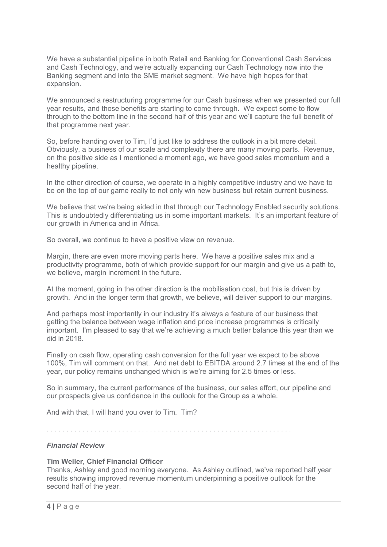We have a substantial pipeline in both Retail and Banking for Conventional Cash Services and Cash Technology, and we're actually expanding our Cash Technology now into the Banking segment and into the SME market segment. We have high hopes for that expansion.

 We announced a restructuring programme for our Cash business when we presented our full year results, and those benefits are starting to come through. We expect some to flow through to the bottom line in the second half of this year and we'll capture the full benefit of that programme next year.

 So, before handing over to Tim, I'd just like to address the outlook in a bit more detail. Obviously, a business of our scale and complexity there are many moving parts. Revenue, on the positive side as I mentioned a moment ago, we have good sales momentum and a healthy pipeline.

 In the other direction of course, we operate in a highly competitive industry and we have to be on the top of our game really to not only win new business but retain current business.

 We believe that we're being aided in that through our Technology Enabled security solutions. This is undoubtedly differentiating us in some important markets. It's an important feature of our growth in America and in Africa.

So overall, we continue to have a positive view on revenue.

 Margin, there are even more moving parts here. We have a positive sales mix and a productivity programme, both of which provide support for our margin and give us a path to, we believe, margin increment in the future.

 At the moment, going in the other direction is the mobilisation cost, but this is driven by growth. And in the longer term that growth, we believe, will deliver support to our margins.

 And perhaps most importantly in our industry it's always a feature of our business that getting the balance between wage inflation and price increase programmes is critically important. I'm pleased to say that we're achieving a much better balance this year than we did in 2018.

 Finally on cash flow, operating cash conversion for the full year we expect to be above 100%, Tim will comment on that. And net debt to EBITDA around 2.7 times at the end of the year, our policy remains unchanged which is we're aiming for 2.5 times or less.

 So in summary, the current performance of the business, our sales effort, our pipeline and our prospects give us confidence in the outlook for the Group as a whole.

And with that, I will hand you over to Tim. Tim?

. . . . . . . . . . . . . . . . . . . . . . . . . . . . . . . . . . . . . . . . . . . . . . . . . . . . . . . . . . . . . .

### Financial Review

### Tim Weller, Chief Financial Officer

 Thanks, Ashley and good morning everyone. As Ashley outlined, we've reported half year results showing improved revenue momentum underpinning a positive outlook for the second half of the year.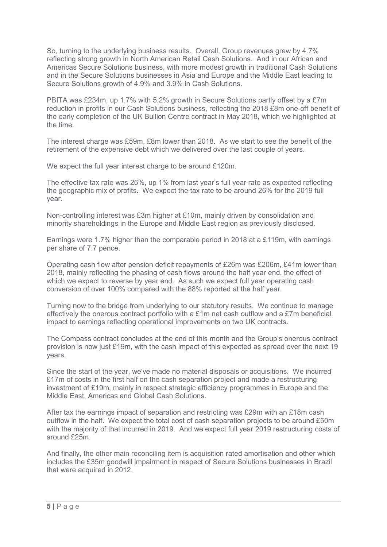So, turning to the underlying business results. Overall, Group revenues grew by 4.7% reflecting strong growth in North American Retail Cash Solutions. And in our African and Americas Secure Solutions business, with more modest growth in traditional Cash Solutions and in the Secure Solutions businesses in Asia and Europe and the Middle East leading to Secure Solutions growth of 4.9% and 3.9% in Cash Solutions.

 PBITA was £234m, up 1.7% with 5.2% growth in Secure Solutions partly offset by a £7m reduction in profits in our Cash Solutions business, reflecting the 2018 £8m one-off benefit of the early completion of the UK Bullion Centre contract in May 2018, which we highlighted at the time.

 The interest charge was £59m, £8m lower than 2018. As we start to see the benefit of the retirement of the expensive debt which we delivered over the last couple of years.

We expect the full year interest charge to be around £120m.

 The effective tax rate was 26%, up 1% from last year's full year rate as expected reflecting the geographic mix of profits. We expect the tax rate to be around 26% for the 2019 full year.

 Non-controlling interest was £3m higher at £10m, mainly driven by consolidation and minority shareholdings in the Europe and Middle East region as previously disclosed.

 Earnings were 1.7% higher than the comparable period in 2018 at a £119m, with earnings per share of 7.7 pence.

 Operating cash flow after pension deficit repayments of £26m was £206m, £41m lower than 2018, mainly reflecting the phasing of cash flows around the half year end, the effect of which we expect to reverse by year end. As such we expect full year operating cash conversion of over 100% compared with the 88% reported at the half year.

 Turning now to the bridge from underlying to our statutory results. We continue to manage effectively the onerous contract portfolio with a £1m net cash outflow and a £7m beneficial impact to earnings reflecting operational improvements on two UK contracts.

 The Compass contract concludes at the end of this month and the Group's onerous contract provision is now just £19m, with the cash impact of this expected as spread over the next 19 years.

 Since the start of the year, we've made no material disposals or acquisitions. We incurred £17m of costs in the first half on the cash separation project and made a restructuring investment of £19m, mainly in respect strategic efficiency programmes in Europe and the Middle East, Americas and Global Cash Solutions.

 After tax the earnings impact of separation and restricting was £29m with an £18m cash outflow in the half. We expect the total cost of cash separation projects to be around £50m with the majority of that incurred in 2019. And we expect full year 2019 restructuring costs of around £25m.

 And finally, the other main reconciling item is acquisition rated amortisation and other which includes the £35m goodwill impairment in respect of Secure Solutions businesses in Brazil that were acquired in 2012.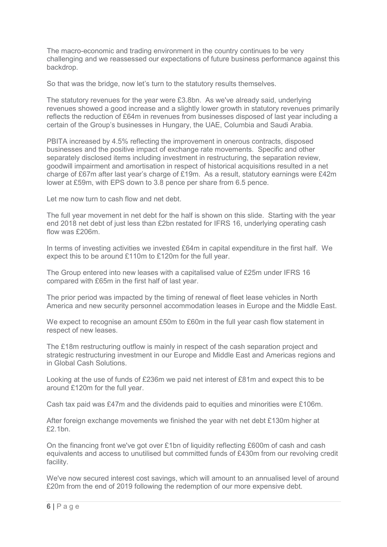The macro-economic and trading environment in the country continues to be very challenging and we reassessed our expectations of future business performance against this backdrop.

So that was the bridge, now let's turn to the statutory results themselves.

 The statutory revenues for the year were £3.8bn. As we've already said, underlying revenues showed a good increase and a slightly lower growth in statutory revenues primarily reflects the reduction of £64m in revenues from businesses disposed of last year including a certain of the Group's businesses in Hungary, the UAE, Columbia and Saudi Arabia.

 PBITA increased by 4.5% reflecting the improvement in onerous contracts, disposed businesses and the positive impact of exchange rate movements. Specific and other separately disclosed items including investment in restructuring, the separation review, goodwill impairment and amortisation in respect of historical acquisitions resulted in a net charge of £67m after last year's charge of £19m. As a result, statutory earnings were £42m lower at £59m, with EPS down to 3.8 pence per share from 6.5 pence.

Let me now turn to cash flow and net debt.

 The full year movement in net debt for the half is shown on this slide. Starting with the year end 2018 net debt of just less than £2bn restated for IFRS 16, underlying operating cash flow was £206m.

 In terms of investing activities we invested £64m in capital expenditure in the first half. We expect this to be around £110m to £120m for the full year.

 The Group entered into new leases with a capitalised value of £25m under IFRS 16 compared with £65m in the first half of last year.

 The prior period was impacted by the timing of renewal of fleet lease vehicles in North America and new security personnel accommodation leases in Europe and the Middle East.

 We expect to recognise an amount £50m to £60m in the full year cash flow statement in respect of new leases.

 The £18m restructuring outflow is mainly in respect of the cash separation project and strategic restructuring investment in our Europe and Middle East and Americas regions and in Global Cash Solutions.

 Looking at the use of funds of £236m we paid net interest of £81m and expect this to be around £120m for the full year.

Cash tax paid was £47m and the dividends paid to equities and minorities were £106m.

 After foreign exchange movements we finished the year with net debt £130m higher at £2.1bn.

 On the financing front we've got over £1bn of liquidity reflecting £600m of cash and cash equivalents and access to unutilised but committed funds of £430m from our revolving credit facility.

 We've now secured interest cost savings, which will amount to an annualised level of around £20m from the end of 2019 following the redemption of our more expensive debt.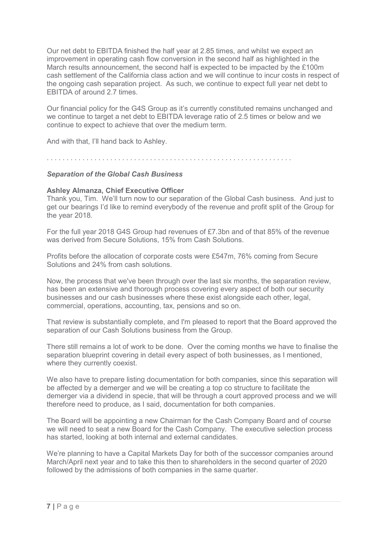Our net debt to EBITDA finished the half year at 2.85 times, and whilst we expect an improvement in operating cash flow conversion in the second half as highlighted in the March results announcement, the second half is expected to be impacted by the £100m cash settlement of the California class action and we will continue to incur costs in respect of the ongoing cash separation project. As such, we continue to expect full year net debt to EBITDA of around 2.7 times.

 Our financial policy for the G4S Group as it's currently constituted remains unchanged and we continue to target a net debt to EBITDA leverage ratio of 2.5 times or below and we continue to expect to achieve that over the medium term.

And with that, I'll hand back to Ashley.

. . . . . . . . . . . . . . . . . . . . . . . . . . . . . . . . . . . . . . . . . . . . . . . . . . . . . . . . . . . . . .

### Separation of the Global Cash Business

### Ashley Almanza, Chief Executive Officer

 Thank you, Tim. We'll turn now to our separation of the Global Cash business. And just to get our bearings I'd like to remind everybody of the revenue and profit split of the Group for the year 2018.

 For the full year 2018 G4S Group had revenues of £7.3bn and of that 85% of the revenue was derived from Secure Solutions, 15% from Cash Solutions.

 Profits before the allocation of corporate costs were £547m, 76% coming from Secure Solutions and 24% from cash solutions.

 Now, the process that we've been through over the last six months, the separation review, has been an extensive and thorough process covering every aspect of both our security businesses and our cash businesses where these exist alongside each other, legal, commercial, operations, accounting, tax, pensions and so on.

 That review is substantially complete, and I'm pleased to report that the Board approved the separation of our Cash Solutions business from the Group.

 There still remains a lot of work to be done. Over the coming months we have to finalise the separation blueprint covering in detail every aspect of both businesses, as I mentioned, where they currently coexist.

 We also have to prepare listing documentation for both companies, since this separation will be affected by a demerger and we will be creating a top co structure to facilitate the demerger via a dividend in specie, that will be through a court approved process and we will therefore need to produce, as I said, documentation for both companies.

 The Board will be appointing a new Chairman for the Cash Company Board and of course we will need to seat a new Board for the Cash Company. The executive selection process has started, looking at both internal and external candidates.

 We're planning to have a Capital Markets Day for both of the successor companies around March/April next year and to take this then to shareholders in the second quarter of 2020 followed by the admissions of both companies in the same quarter.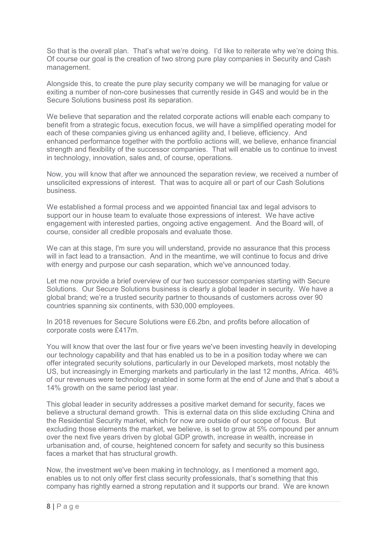So that is the overall plan. That's what we're doing. I'd like to reiterate why we're doing this. Of course our goal is the creation of two strong pure play companies in Security and Cash management.

 Alongside this, to create the pure play security company we will be managing for value or exiting a number of non-core businesses that currently reside in G4S and would be in the Secure Solutions business post its separation.

 We believe that separation and the related corporate actions will enable each company to benefit from a strategic focus, execution focus, we will have a simplified operating model for each of these companies giving us enhanced agility and, I believe, efficiency. And enhanced performance together with the portfolio actions will, we believe, enhance financial strength and flexibility of the successor companies. That will enable us to continue to invest in technology, innovation, sales and, of course, operations.

 Now, you will know that after we announced the separation review, we received a number of unsolicited expressions of interest. That was to acquire all or part of our Cash Solutions business.

 We established a formal process and we appointed financial tax and legal advisors to support our in house team to evaluate those expressions of interest. We have active engagement with interested parties, ongoing active engagement. And the Board will, of course, consider all credible proposals and evaluate those.

 We can at this stage, I'm sure you will understand, provide no assurance that this process will in fact lead to a transaction. And in the meantime, we will continue to focus and drive with energy and purpose our cash separation, which we've announced today.

 Let me now provide a brief overview of our two successor companies starting with Secure Solutions. Our Secure Solutions business is clearly a global leader in security. We have a global brand; we're a trusted security partner to thousands of customers across over 90 countries spanning six continents, with 530,000 employees.

 In 2018 revenues for Secure Solutions were £6.2bn, and profits before allocation of corporate costs were £417m.

 You will know that over the last four or five years we've been investing heavily in developing our technology capability and that has enabled us to be in a position today where we can offer integrated security solutions, particularly in our Developed markets, most notably the US, but increasingly in Emerging markets and particularly in the last 12 months, Africa. 46% of our revenues were technology enabled in some form at the end of June and that's about a 14% growth on the same period last year.

 This global leader in security addresses a positive market demand for security, faces we believe a structural demand growth. This is external data on this slide excluding China and the Residential Security market, which for now are outside of our scope of focus. But excluding those elements the market, we believe, is set to grow at 5% compound per annum over the next five years driven by global GDP growth, increase in wealth, increase in urbanisation and, of course, heightened concern for safety and security so this business faces a market that has structural growth.

 Now, the investment we've been making in technology, as I mentioned a moment ago, enables us to not only offer first class security professionals, that's something that this company has rightly earned a strong reputation and it supports our brand. We are known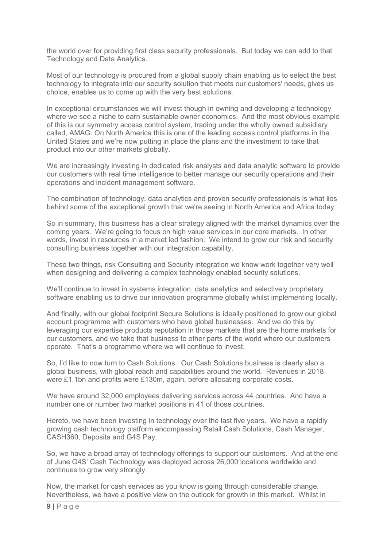the world over for providing first class security professionals. But today we can add to that Technology and Data Analytics.

 Most of our technology is procured from a global supply chain enabling us to select the best technology to integrate into our security solution that meets our customers' needs, gives us choice, enables us to come up with the very best solutions.

 In exceptional circumstances we will invest though in owning and developing a technology where we see a niche to earn sustainable owner economics. And the most obvious example of this is our symmetry access control system, trading under the wholly owned subsidiary called, AMAG. On North America this is one of the leading access control platforms in the United States and we're now putting in place the plans and the investment to take that product into our other markets globally.

 We are increasingly investing in dedicated risk analysts and data analytic software to provide our customers with real time intelligence to better manage our security operations and their operations and incident management software.

 The combination of technology, data analytics and proven security professionals is what lies behind some of the exceptional growth that we're seeing in North America and Africa today.

 So in summary, this business has a clear strategy aligned with the market dynamics over the coming years. We're going to focus on high value services in our core markets. In other words, invest in resources in a market led fashion. We intend to grow our risk and security consulting business together with our integration capability.

 These two things, risk Consulting and Security integration we know work together very well when designing and delivering a complex technology enabled security solutions.

 We'll continue to invest in systems integration, data analytics and selectively proprietary software enabling us to drive our innovation programme globally whilst implementing locally.

 And finally, with our global footprint Secure Solutions is ideally positioned to grow our global account programme with customers who have global businesses. And we do this by leveraging our expertise products reputation in those markets that are the home markets for our customers, and we take that business to other parts of the world where our customers operate. That's a programme where we will continue to invest.

 So, I'd like to now turn to Cash Solutions. Our Cash Solutions business is clearly also a global business, with global reach and capabilities around the world. Revenues in 2018 were £1.1bn and profits were £130m, again, before allocating corporate costs.

 We have around 32,000 employees delivering services across 44 countries. And have a number one or number two market positions in 41 of those countries.

 Hereto, we have been investing in technology over the last five years. We have a rapidly growing cash technology platform encompassing Retail Cash Solutions, Cash Manager, CASH360, Deposita and G4S Pay.

 So, we have a broad array of technology offerings to support our customers. And at the end of June G4S' Cash Technology was deployed across 26,000 locations worldwide and continues to grow very strongly.

 Now, the market for cash services as you know is going through considerable change. Nevertheless, we have a positive view on the outlook for growth in this market. Whilst in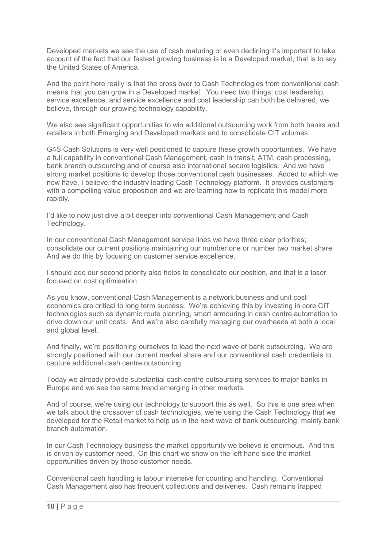Developed markets we see the use of cash maturing or even declining it's important to take account of the fact that our fastest growing business is in a Developed market, that is to say the United States of America.

 And the point here really is that the cross over to Cash Technologies from conventional cash means that you can grow in a Developed market. You need two things; cost leadership, service excellence, and service excellence and cost leadership can both be delivered, we believe, through our growing technology capability.

 We also see significant opportunities to win additional outsourcing work from both banks and retailers in both Emerging and Developed markets and to consolidate CIT volumes.

 G4S Cash Solutions is very well positioned to capture these growth opportunities. We have a full capability in conventional Cash Management, cash in transit, ATM, cash processing, bank branch outsourcing and of course also international secure logistics. And we have strong market positions to develop those conventional cash businesses. Added to which we now have, I believe, the industry leading Cash Technology platform. It provides customers with a compelling value proposition and we are learning how to replicate this model more rapidly.

 I'd like to now just dive a bit deeper into conventional Cash Management and Cash Technology.

 In our conventional Cash Management service lines we have three clear priorities; consolidate our current positions maintaining our number one or number two market share. And we do this by focusing on customer service excellence.

 I should add our second priority also helps to consolidate our position, and that is a laser focused on cost optimisation.

 As you know, conventional Cash Management is a network business and unit cost economics are critical to long term success. We're achieving this by investing in core CIT technologies such as dynamic route planning, smart armouring in cash centre automation to drive down our unit costs. And we're also carefully managing our overheads at both a local and global level.

 And finally, we're positioning ourselves to lead the next wave of bank outsourcing. We are strongly positioned with our current market share and our conventional cash credentials to capture additional cash centre outsourcing.

 Today we already provide substantial cash centre outsourcing services to major banks in Europe and we see the same trend emerging in other markets.

 And of course, we're using our technology to support this as well. So this is one area when we talk about the crossover of cash technologies, we're using the Cash Technology that we developed for the Retail market to help us in the next wave of bank outsourcing, mainly bank branch automation.

 In our Cash Technology business the market opportunity we believe is enormous. And this is driven by customer need. On this chart we show on the left hand side the market opportunities driven by those customer needs.

 Conventional cash handling is labour intensive for counting and handling. Conventional Cash Management also has frequent collections and deliveries. Cash remains trapped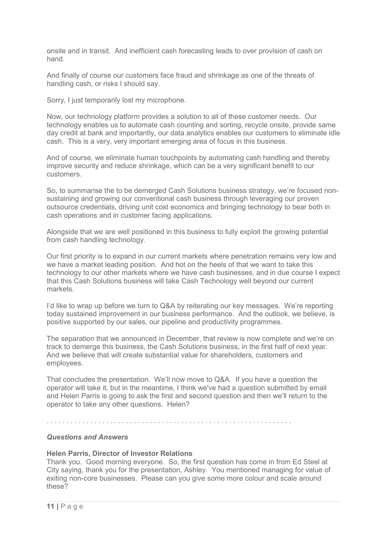onsite and in transit. And inefficient cash forecasting leads to over provision of cash on hand.

 And finally of course our customers face fraud and shrinkage as one of the threats of handling cash, or risks I should say.

Sorry, I just temporarily lost my microphone.

 Now, our technology platform provides a solution to all of these customer needs. Our technology enables us to automate cash counting and sorting, recycle onsite, provide same day credit at bank and importantly, our data analytics enables our customers to eliminate idle cash. This is a very, very important emerging area of focus in this business.

 And of course, we eliminate human touchpoints by automating cash handling and thereby improve security and reduce shrinkage, which can be a very significant benefit to our customers.

 So, to summarise the to be demerged Cash Solutions business strategy, we're focused non- sustaining and growing our conventional cash business through leveraging our proven outsource credentials, driving unit cost economics and bringing technology to bear both in cash operations and in customer facing applications.

 Alongside that we are well positioned in this business to fully exploit the growing potential from cash handling technology.

 Our first priority is to expand in our current markets where penetration remains very low and we have a market leading position. And hot on the heels of that we want to take this technology to our other markets where we have cash businesses, and in due course I expect that this Cash Solutions business will take Cash Technology well beyond our current markets.

 I'd like to wrap up before we turn to Q&A by reiterating our key messages. We're reporting today sustained improvement in our business performance. And the outlook, we believe, is positive supported by our sales, our pipeline and productivity programmes.

 The separation that we announced in December, that review is now complete and we're on track to demerge this business, the Cash Solutions business, in the first half of next year. And we believe that will create substantial value for shareholders, customers and employees.

 That concludes the presentation. We'll now move to Q&A. If you have a question the operator will take it, but in the meantime, I think we've had a question submitted by email and Helen Parris is going to ask the first and second question and then we'll return to the operator to take any other questions. Helen?

. . . . . . . . . . . . . . . . . . . . . . . . . . . . . . . . . . . . . . . . . . . . . . . . . . . . . . . . . . . . . .

### Questions and Answers

### Helen Parris, Director of Investor Relations

 Thank you. Good morning everyone. So, the first question has come in from Ed Steel at City saying, thank you for the presentation, Ashley. You mentioned managing for value of exiting non-core businesses. Please can you give some more colour and scale around these?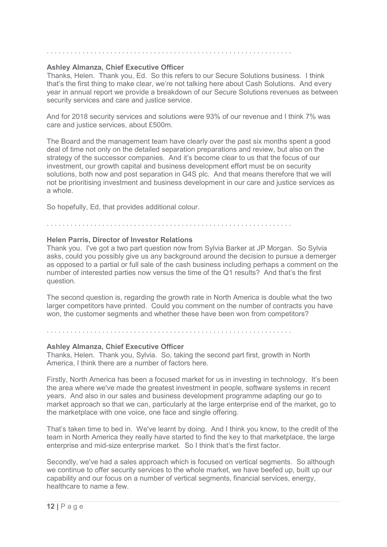### Ashley Almanza, Chief Executive Officer

 Thanks, Helen. Thank you, Ed. So this refers to our Secure Solutions business. I think that's the first thing to make clear, we're not talking here about Cash Solutions. And every year in annual report we provide a breakdown of our Secure Solutions revenues as between security services and care and justice service.

 And for 2018 security services and solutions were 93% of our revenue and I think 7% was care and justice services, about £500m.

 The Board and the management team have clearly over the past six months spent a good deal of time not only on the detailed separation preparations and review, but also on the strategy of the successor companies. And it's become clear to us that the focus of our investment, our growth capital and business development effort must be on security solutions, both now and post separation in G4S plc. And that means therefore that we will not be prioritising investment and business development in our care and justice services as a whole.

So hopefully, Ed, that provides additional colour.

 Helen Parris, Director of Investor Relations Thank you. I've got a two part question now from Sylvia Barker at JP Morgan. So Sylvia asks, could you possibly give us any background around the decision to pursue a demerger as opposed to a partial or full sale of the cash business including perhaps a comment on the number of interested parties now versus the time of the Q1 results? And that's the first question.

 The second question is, regarding the growth rate in North America is double what the two larger competitors have printed. Could you comment on the number of contracts you have won, the customer segments and whether these have been won from competitors?

. . . . . . . . . . . . . . . . . . . . . . . . . . . . . . . . . . . . . . . . . . . . . . . . . . . . . . . . . . . . . .

. . . . . . . . . . . . . . . . . . . . . . . . . . . . . . . . . . . . . . . . . . . . . . . . . . . . . . . . . . . . . .

### Ashley Almanza, Chief Executive Officer

 Thanks, Helen. Thank you, Sylvia. So, taking the second part first, growth in North America, I think there are a number of factors here.

 Firstly, North America has been a focused market for us in investing in technology. It's been the area where we've made the greatest investment in people, software systems in recent years. And also in our sales and business development programme adapting our go to market approach so that we can, particularly at the large enterprise end of the market, go to the marketplace with one voice, one face and single offering.

 That's taken time to bed in. We've learnt by doing. And I think you know, to the credit of the team in North America they really have started to find the key to that marketplace, the large enterprise and mid-size enterprise market. So I think that's the first factor.

 Secondly, we've had a sales approach which is focused on vertical segments. So although we continue to offer security services to the whole market, we have beefed up, built up our capability and our focus on a number of vertical segments, financial services, energy, healthcare to name a few.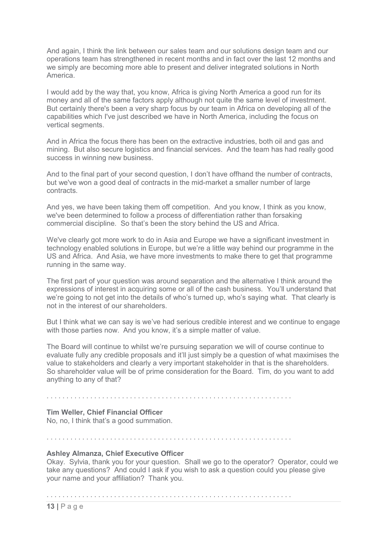And again, I think the link between our sales team and our solutions design team and our operations team has strengthened in recent months and in fact over the last 12 months and we simply are becoming more able to present and deliver integrated solutions in North **America** 

 I would add by the way that, you know, Africa is giving North America a good run for its money and all of the same factors apply although not quite the same level of investment. But certainly there's been a very sharp focus by our team in Africa on developing all of the capabilities which I've just described we have in North America, including the focus on vertical segments.

 And in Africa the focus there has been on the extractive industries, both oil and gas and mining. But also secure logistics and financial services. And the team has had really good success in winning new business.

 but we've won a good deal of contracts in the mid-market a smaller number of large contracts. And to the final part of your second question, I don't have offhand the number of contracts,

 And yes, we have been taking them off competition. And you know, I think as you know, we've been determined to follow a process of differentiation rather than forsaking commercial discipline. So that's been the story behind the US and Africa.

 We've clearly got more work to do in Asia and Europe we have a significant investment in technology enabled solutions in Europe, but we're a little way behind our programme in the US and Africa. And Asia, we have more investments to make there to get that programme running in the same way.

 The first part of your question was around separation and the alternative I think around the expressions of interest in acquiring some or all of the cash business. You'll understand that we're going to not get into the details of who's turned up, who's saying what. That clearly is not in the interest of our shareholders.

 But I think what we can say is we've had serious credible interest and we continue to engage with those parties now. And you know, it's a simple matter of value.

 The Board will continue to whilst we're pursuing separation we will of course continue to evaluate fully any credible proposals and it'll just simply be a question of what maximises the value to stakeholders and clearly a very important stakeholder in that is the shareholders. So shareholder value will be of prime consideration for the Board. Tim, do you want to add anything to any of that?

. . . . . . . . . . . . . . . . . . . . . . . . . . . . . . . . . . . . . . . . . . . . . . . . . . . . . . . . . . . . . .

### Tim Weller, Chief Financial Officer

No, no, I think that's a good summation.

. . . . . . . . . . . . . . . . . . . . . . . . . . . . . . . . . . . . . . . . . . . . . . . . . . . . . . . . . . . . . .

### Ashley Almanza, Chief Executive Officer

 Okay. Sylvia, thank you for your question. Shall we go to the operator? Operator, could we take any questions? And could I ask if you wish to ask a question could you please give your name and your affiliation? Thank you.

. . . . . . . . . . . . . . . . . . . . . . . . . . . . . . . . . . . . . . . . . . . . . . . . . . . . . . . . . . . . . .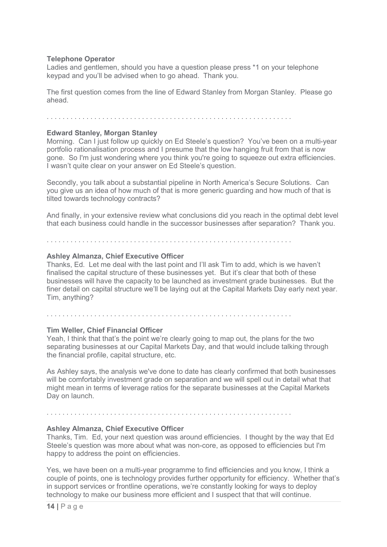### Telephone Operator

 Ladies and gentlemen, should you have a question please press \*1 on your telephone keypad and you'll be advised when to go ahead. Thank you.

 The first question comes from the line of Edward Stanley from Morgan Stanley. Please go ahead.

. . . . . . . . . . . . . . . . . . . . . . . . . . . . . . . . . . . . . . . . . . . . . . . . . . . . . . . . . . . . . .

### Edward Stanley, Morgan Stanley

 Morning. Can I just follow up quickly on Ed Steele's question? You've been on a multi-year portfolio rationalisation process and I presume that the low hanging fruit from that is now gone. So I'm just wondering where you think you're going to squeeze out extra efficiencies. I wasn't quite clear on your answer on Ed Steele's question.

 Secondly, you talk about a substantial pipeline in North America's Secure Solutions. Can you give us an idea of how much of that is more generic guarding and how much of that is tilted towards technology contracts?

 And finally, in your extensive review what conclusions did you reach in the optimal debt level that each business could handle in the successor businesses after separation? Thank you.

. . . . . . . . . . . . . . . . . . . . . . . . . . . . . . . . . . . . . . . . . . . . . . . . . . . . . . . . . . . . . .

### Ashley Almanza, Chief Executive Officer

 Thanks, Ed. Let me deal with the last point and I'll ask Tim to add, which is we haven't finalised the capital structure of these businesses yet. But it's clear that both of these businesses will have the capacity to be launched as investment grade businesses. But the finer detail on capital structure we'll be laying out at the Capital Markets Day early next year. Tim, anything?

. . . . . . . . . . . . . . . . . . . . . . . . . . . . . . . . . . . . . . . . . . . . . . . . . . . . . . . . . . . . . .

### Tim Weller, Chief Financial Officer

 Yeah, I think that that's the point we're clearly going to map out, the plans for the two separating businesses at our Capital Markets Day, and that would include talking through the financial profile, capital structure, etc.

 As Ashley says, the analysis we've done to date has clearly confirmed that both businesses will be comfortably investment grade on separation and we will spell out in detail what that might mean in terms of leverage ratios for the separate businesses at the Capital Markets Day on launch.

# . . . . . . . . . . . . . . . . . . . . . . . . . . . . . . . . . . . . . . . . . . . . . . . . . . . . . . . . . . . . . .

### Ashley Almanza, Chief Executive Officer

 Thanks, Tim. Ed, your next question was around efficiencies. I thought by the way that Ed Steele's question was more about what was non-core, as opposed to efficiencies but I'm happy to address the point on efficiencies.

 Yes, we have been on a multi-year programme to find efficiencies and you know, I think a couple of points, one is technology provides further opportunity for efficiency. Whether that's in support services or frontline operations, we're constantly looking for ways to deploy technology to make our business more efficient and I suspect that that will continue.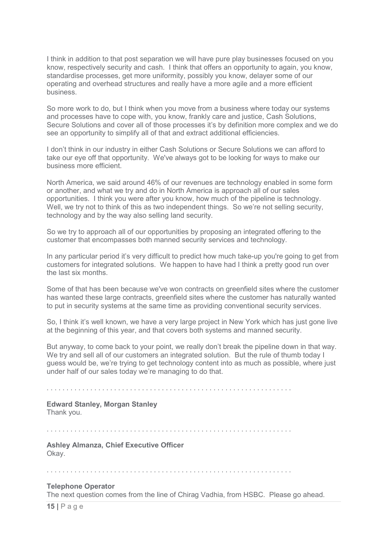I think in addition to that post separation we will have pure play businesses focused on you know, respectively security and cash. I think that offers an opportunity to again, you know, standardise processes, get more uniformity, possibly you know, delayer some of our operating and overhead structures and really have a more agile and a more efficient business.

 So more work to do, but I think when you move from a business where today our systems and processes have to cope with, you know, frankly care and justice, Cash Solutions, Secure Solutions and cover all of those processes it's by definition more complex and we do see an opportunity to simplify all of that and extract additional efficiencies.

 I don't think in our industry in either Cash Solutions or Secure Solutions we can afford to take our eye off that opportunity. We've always got to be looking for ways to make our business more efficient.

 North America, we said around 46% of our revenues are technology enabled in some form or another, and what we try and do in North America is approach all of our sales opportunities. I think you were after you know, how much of the pipeline is technology. Well, we try not to think of this as two independent things. So we're not selling security, technology and by the way also selling land security.

 So we try to approach all of our opportunities by proposing an integrated offering to the customer that encompasses both manned security services and technology.

 In any particular period it's very difficult to predict how much take-up you're going to get from customers for integrated solutions. We happen to have had I think a pretty good run over the last six months.

 Some of that has been because we've won contracts on greenfield sites where the customer has wanted these large contracts, greenfield sites where the customer has naturally wanted to put in security systems at the same time as providing conventional security services.

 So, I think it's well known, we have a very large project in New York which has just gone live at the beginning of this year, and that covers both systems and manned security.

 But anyway, to come back to your point, we really don't break the pipeline down in that way. We try and sell all of our customers an integrated solution. But the rule of thumb today I guess would be, we're trying to get technology content into as much as possible, where just under half of our sales today we're managing to do that.

. . . . . . . . . . . . . . . . . . . . . . . . . . . . . . . . . . . . . . . . . . . . . . . . . . . . . . . . . . . . . .

### Edward Stanley, Morgan Stanley

Thank you.

. . . . . . . . . . . . . . . . . . . . . . . . . . . . . . . . . . . . . . . . . . . . . . . . . . . . . . . . . . . . . .

 Ashley Almanza, Chief Executive Officer Okay.

. . . . . . . . . . . . . . . . . . . . . . . . . . . . . . . . . . . . . . . . . . . . . . . . . . . . . . . . . . . . . .

### Telephone Operator

The next question comes from the line of Chirag Vadhia, from HSBC. Please go ahead.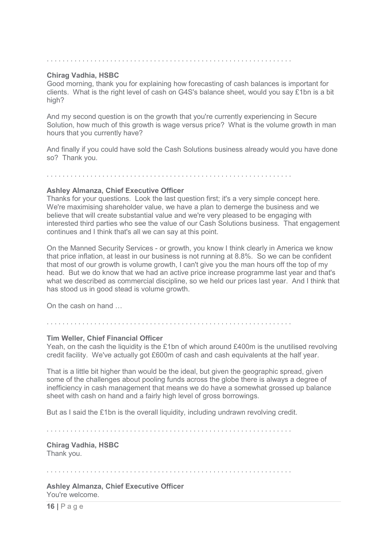### Chirag Vadhia, HSBC

 Good morning, thank you for explaining how forecasting of cash balances is important for clients. What is the right level of cash on G4S's balance sheet, would you say £1bn is a bit high?

 And my second question is on the growth that you're currently experiencing in Secure Solution, how much of this growth is wage versus price? What is the volume growth in man hours that you currently have?

 And finally if you could have sold the Cash Solutions business already would you have done so? Thank you.

. . . . . . . . . . . . . . . . . . . . . . . . . . . . . . . . . . . . . . . . . . . . . . . . . . . . . . . . . . . . . .

### Ashley Almanza, Chief Executive Officer

 Thanks for your questions. Look the last question first; it's a very simple concept here. We're maximising shareholder value, we have a plan to demerge the business and we believe that will create substantial value and we're very pleased to be engaging with interested third parties who see the value of our Cash Solutions business. That engagement continues and I think that's all we can say at this point.

 On the Manned Security Services - or growth, you know I think clearly in America we know that price inflation, at least in our business is not running at 8.8%. So we can be confident that most of our growth is volume growth, I can't give you the man hours off the top of my head. But we do know that we had an active price increase programme last year and that's what we described as commercial discipline, so we held our prices last year. And I think that has stood us in good stead is volume growth.

On the cash on hand …

. . . . . . . . . . . . . . . . . . . . . . . . . . . . . . . . . . . . . . . . . . . . . . . . . . . . . . . . . . . . . .

### Tim Weller, Chief Financial Officer

Yeah, on the cash the liquidity is the £1bn of which around £400m is the unutilised revolving credit facility. We've actually got £600m of cash and cash equivalents at the half year.

 That is a little bit higher than would be the ideal, but given the geographic spread, given some of the challenges about pooling funds across the globe there is always a degree of inefficiency in cash management that means we do have a somewhat grossed up balance sheet with cash on hand and a fairly high level of gross borrowings.

But as I said the £1bn is the overall liquidity, including undrawn revolving credit.

. . . . . . . . . . . . . . . . . . . . . . . . . . . . . . . . . . . . . . . . . . . . . . . . . . . . . . . . . . . . . .

 Chirag Vadhia, HSBC Thank you.

. . . . . . . . . . . . . . . . . . . . . . . . . . . . . . . . . . . . . . . . . . . . . . . . . . . . . . . . . . . . . .

 Ashley Almanza, Chief Executive Officer You're welcome.

16 | P a g e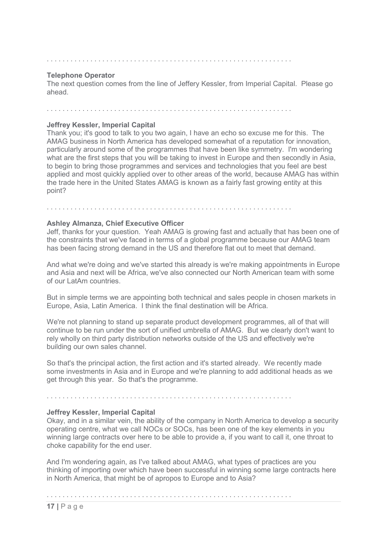### Telephone Operator

 The next question comes from the line of Jeffery Kessler, from Imperial Capital. Please go ahead.

. . . . . . . . . . . . . . . . . . . . . . . . . . . . . . . . . . . . . . . . . . . . . . . . . . . . . . . . . . . . . .

### Jeffrey Kessler, Imperial Capital

 Thank you; it's good to talk to you two again, I have an echo so excuse me for this. The AMAG business in North America has developed somewhat of a reputation for innovation, particularly around some of the programmes that have been like symmetry. I'm wondering what are the first steps that you will be taking to invest in Europe and then secondly in Asia, to begin to bring those programmes and services and technologies that you feel are best applied and most quickly applied over to other areas of the world, because AMAG has within the trade here in the United States AMAG is known as a fairly fast growing entity at this point?

# Ashley Almanza, Chief Executive Officer

 Jeff, thanks for your question. Yeah AMAG is growing fast and actually that has been one of the constraints that we've faced in terms of a global programme because our AMAG team has been facing strong demand in the US and therefore flat out to meet that demand.

. . . . . . . . . . . . . . . . . . . . . . . . . . . . . . . . . . . . . . . . . . . . . . . . . . . . . . . . . . . . . .

 And what we're doing and we've started this already is we're making appointments in Europe and Asia and next will be Africa, we've also connected our North American team with some of our LatAm countries.

 But in simple terms we are appointing both technical and sales people in chosen markets in Europe, Asia, Latin America. I think the final destination will be Africa.

 We're not planning to stand up separate product development programmes, all of that will continue to be run under the sort of unified umbrella of AMAG. But we clearly don't want to rely wholly on third party distribution networks outside of the US and effectively we're building our own sales channel.

 So that's the principal action, the first action and it's started already. We recently made some investments in Asia and in Europe and we're planning to add additional heads as we get through this year. So that's the programme.

### . . . . . . . . . . . . . . . . . . . . . . . . . . . . . . . . . . . . . . . . . . . . . . . . . . . . . . . . . . . . . .

### Jeffrey Kessler, Imperial Capital

 Okay, and in a similar vein, the ability of the company in North America to develop a security operating centre, what we call NOCs or SOCs, has been one of the key elements in you winning large contracts over here to be able to provide a, if you want to call it, one throat to choke capability for the end user.

 And I'm wondering again, as I've talked about AMAG, what types of practices are you thinking of importing over which have been successful in winning some large contracts here in North America, that might be of apropos to Europe and to Asia?

. . . . . . . . . . . . . . . . . . . . . . . . . . . . . . . . . . . . . . . . . . . . . . . . . . . . . . . . . . . . . .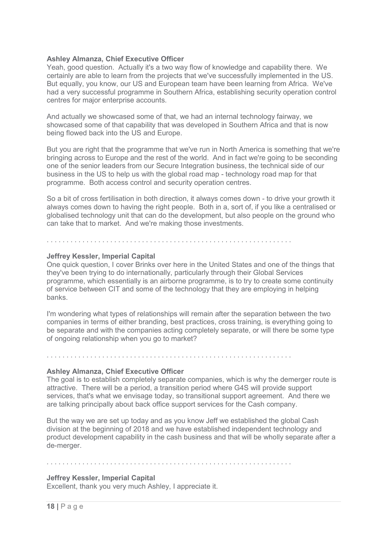### Ashley Almanza, Chief Executive Officer

 Yeah, good question. Actually it's a two way flow of knowledge and capability there. We certainly are able to learn from the projects that we've successfully implemented in the US. But equally, you know, our US and European team have been learning from Africa. We've had a very successful programme in Southern Africa, establishing security operation control centres for major enterprise accounts.

 And actually we showcased some of that, we had an internal technology fairway, we showcased some of that capability that was developed in Southern Africa and that is now being flowed back into the US and Europe.

 But you are right that the programme that we've run in North America is something that we're bringing across to Europe and the rest of the world. And in fact we're going to be seconding one of the senior leaders from our Secure Integration business, the technical side of our business in the US to help us with the global road map - technology road map for that programme. Both access control and security operation centres.

 So a bit of cross fertilisation in both direction, it always comes down - to drive your growth it always comes down to having the right people. Both in a, sort of, if you like a centralised or globalised technology unit that can do the development, but also people on the ground who can take that to market. And we're making those investments.

## Jeffrey Kessler, Imperial Capital

 One quick question, I cover Brinks over here in the United States and one of the things that they've been trying to do internationally, particularly through their Global Services programme, which essentially is an airborne programme, is to try to create some continuity of service between CIT and some of the technology that they are employing in helping banks.

 I'm wondering what types of relationships will remain after the separation between the two companies in terms of either branding, best practices, cross training, is everything going to be separate and with the companies acting completely separate, or will there be some type of ongoing relationship when you go to market?

. . . . . . . . . . . . . . . . . . . . . . . . . . . . . . . . . . . . . . . . . . . . . . . . . . . . . . . . . . . . . .

. . . . . . . . . . . . . . . . . . . . . . . . . . . . . . . . . . . . . . . . . . . . . . . . . . . . . . . . . . . . . .

### Ashley Almanza, Chief Executive Officer

 The goal is to establish completely separate companies, which is why the demerger route is attractive. There will be a period, a transition period where G4S will provide support services, that's what we envisage today, so transitional support agreement. And there we are talking principally about back office support services for the Cash company.

 But the way we are set up today and as you know Jeff we established the global Cash division at the beginning of 2018 and we have established independent technology and product development capability in the cash business and that will be wholly separate after a de-merger.

. . . . . . . . . . . . . . . . . . . . . . . . . . . . . . . . . . . . . . . . . . . . . . . . . . . . . . . . . . . . . .

### Jeffrey Kessler, Imperial Capital

Excellent, thank you very much Ashley, I appreciate it.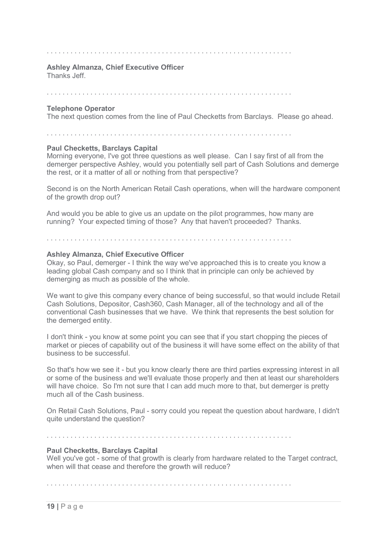### Ashley Almanza, Chief Executive Officer

Thanks Jeff.

. . . . . . . . . . . . . . . . . . . . . . . . . . . . . . . . . . . . . . . . . . . . . . . . . . . . . . . . . . . . . .

### Telephone Operator

The next question comes from the line of Paul Checketts from Barclays. Please go ahead.

. . . . . . . . . . . . . . . . . . . . . . . . . . . . . . . . . . . . . . . . . . . . . . . . . . . . . . . . . . . . . .

### Paul Checketts, Barclays Capital

 Morning everyone, I've got three questions as well please. Can I say first of all from the demerger perspective Ashley, would you potentially sell part of Cash Solutions and demerge the rest, or it a matter of all or nothing from that perspective?

 Second is on the North American Retail Cash operations, when will the hardware component of the growth drop out?

 And would you be able to give us an update on the pilot programmes, how many are running? Your expected timing of those? Any that haven't proceeded? Thanks.

. . . . . . . . . . . . . . . . . . . . . . . . . . . . . . . . . . . . . . . . . . . . . . . . . . . . . . . . . . . . . .

### Ashley Almanza, Chief Executive Officer

 Okay, so Paul, demerger - I think the way we've approached this is to create you know a leading global Cash company and so I think that in principle can only be achieved by demerging as much as possible of the whole.

 We want to give this company every chance of being successful, so that would include Retail Cash Solutions, Depositor, Cash360, Cash Manager, all of the technology and all of the conventional Cash businesses that we have. We think that represents the best solution for the demerged entity.

 I don't think - you know at some point you can see that if you start chopping the pieces of market or pieces of capability out of the business it will have some effect on the ability of that business to be successful.

 So that's how we see it - but you know clearly there are third parties expressing interest in all or some of the business and we'll evaluate those properly and then at least our shareholders will have choice. So I'm not sure that I can add much more to that, but demerger is pretty much all of the Cash business.

 On Retail Cash Solutions, Paul - sorry could you repeat the question about hardware, I didn't quite understand the question?

### . . . . . . . . . . . . . . . . . . . . . . . . . . . . . . . . . . . . . . . . . . . . . . . . . . . . . . . . . . . . . .

### Paul Checketts, Barclays Capital

 Well you've got - some of that growth is clearly from hardware related to the Target contract, when will that cease and therefore the growth will reduce?

. . . . . . . . . . . . . . . . . . . . . . . . . . . . . . . . . . . . . . . . . . . . . . . . . . . . . . . . . . . . . .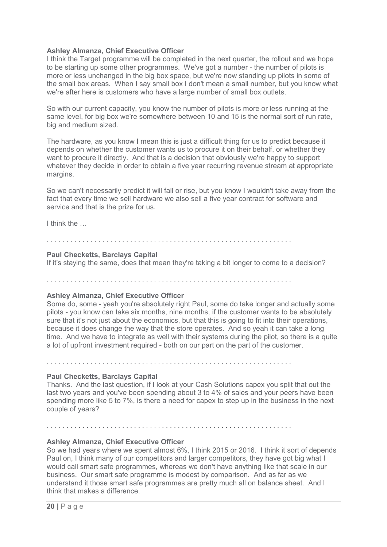### Ashley Almanza, Chief Executive Officer

 I think the Target programme will be completed in the next quarter, the rollout and we hope to be starting up some other programmes. We've got a number - the number of pilots is more or less unchanged in the big box space, but we're now standing up pilots in some of the small box areas. When I say small box I don't mean a small number, but you know what we're after here is customers who have a large number of small box outlets.

 So with our current capacity, you know the number of pilots is more or less running at the same level, for big box we're somewhere between 10 and 15 is the normal sort of run rate, big and medium sized.

 The hardware, as you know I mean this is just a difficult thing for us to predict because it depends on whether the customer wants us to procure it on their behalf, or whether they want to procure it directly. And that is a decision that obviously we're happy to support whatever they decide in order to obtain a five year recurring revenue stream at appropriate margins.

 So we can't necessarily predict it will fall or rise, but you know I wouldn't take away from the fact that every time we sell hardware we also sell a five year contract for software and service and that is the prize for us.

I think the …

 Paul Checketts, Barclays Capital If it's staying the same, does that mean they're taking a bit longer to come to a decision?

. . . . . . . . . . . . . . . . . . . . . . . . . . . . . . . . . . . . . . . . . . . . . . . . . . . . . . . . . . . . . .

. . . . . . . . . . . . . . . . . . . . . . . . . . . . . . . . . . . . . . . . . . . . . . . . . . . . . . . . . . . . . .

### Ashley Almanza, Chief Executive Officer

 Some do, some - yeah you're absolutely right Paul, some do take longer and actually some pilots - you know can take six months, nine months, if the customer wants to be absolutely sure that it's not just about the economics, but that this is going to fit into their operations, because it does change the way that the store operates. And so yeah it can take a long time. And we have to integrate as well with their systems during the pilot, so there is a quite a lot of upfront investment required - both on our part on the part of the customer.

. . . . . . . . . . . . . . . . . . . . . . . . . . . . . . . . . . . . . . . . . . . . . . . . . . . . . . . . . . . . . .

. . . . . . . . . . . . . . . . . . . . . . . . . . . . . . . . . . . . . . . . . . . . . . . . . . . . . . . . . . . . . .

### Paul Checketts, Barclays Capital

 Thanks. And the last question, if I look at your Cash Solutions capex you split that out the last two years and you've been spending about 3 to 4% of sales and your peers have been spending more like 5 to 7%, is there a need for capex to step up in the business in the next couple of years?

### Ashley Almanza, Chief Executive Officer

 So we had years where we spent almost 6%, I think 2015 or 2016. I think it sort of depends Paul on, I think many of our competitors and larger competitors, they have got big what I would call smart safe programmes, whereas we don't have anything like that scale in our business. Our smart safe programme is modest by comparison. And as far as we understand it those smart safe programmes are pretty much all on balance sheet. And I think that makes a difference.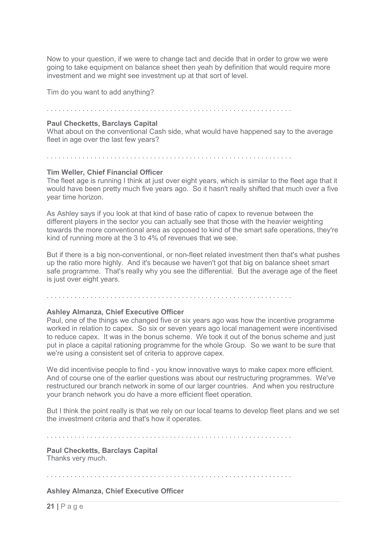Now to your question, if we were to change tact and decide that in order to grow we were going to take equipment on balance sheet then yeah by definition that would require more investment and we might see investment up at that sort of level.

Tim do you want to add anything?

. . . . . . . . . . . . . . . . . . . . . . . . . . . . . . . . . . . . . . . . . . . . . . . . . . . . . . . . . . . . . .

### Paul Checketts, Barclays Capital

 What about on the conventional Cash side, what would have happened say to the average fleet in age over the last few years?

. . . . . . . . . . . . . . . . . . . . . . . . . . . . . . . . . . . . . . . . . . . . . . . . . . . . . . . . . . . . . .

### Tim Weller, Chief Financial Officer

 The fleet age is running I think at just over eight years, which is similar to the fleet age that it would have been pretty much five years ago. So it hasn't really shifted that much over a five year time horizon.

 As Ashley says if you look at that kind of base ratio of capex to revenue between the different players in the sector you can actually see that those with the heavier weighting towards the more conventional area as opposed to kind of the smart safe operations, they're kind of running more at the 3 to 4% of revenues that we see.

 But if there is a big non-conventional, or non-fleet related investment then that's what pushes up the ratio more highly. And it's because we haven't got that big on balance sheet smart safe programme. That's really why you see the differential. But the average age of the fleet is just over eight years.

. . . . . . . . . . . . . . . . . . . . . . . . . . . . . . . . . . . . . . . . . . . . . . . . . . . . . . . . . . . . . .

### Ashley Almanza, Chief Executive Officer

 Paul, one of the things we changed five or six years ago was how the incentive programme worked in relation to capex. So six or seven years ago local management were incentivised to reduce capex. It was in the bonus scheme. We took it out of the bonus scheme and just put in place a capital rationing programme for the whole Group. So we want to be sure that we're using a consistent set of criteria to approve capex.

 We did incentivise people to find - you know innovative ways to make capex more efficient. And of course one of the earlier questions was about our restructuring programmes. We've restructured our branch network in some of our larger countries. And when you restructure your branch network you do have a more efficient fleet operation.

 But I think the point really is that we rely on our local teams to develop fleet plans and we set the investment criteria and that's how it operates.

. . . . . . . . . . . . . . . . . . . . . . . . . . . . . . . . . . . . . . . . . . . . . . . . . . . . . . . . . . . . . .

 Paul Checketts, Barclays Capital Thanks very much.

. . . . . . . . . . . . . . . . . . . . . . . . . . . . . . . . . . . . . . . . . . . . . . . . . . . . . . . . . . . . . .

Ashley Almanza, Chief Executive Officer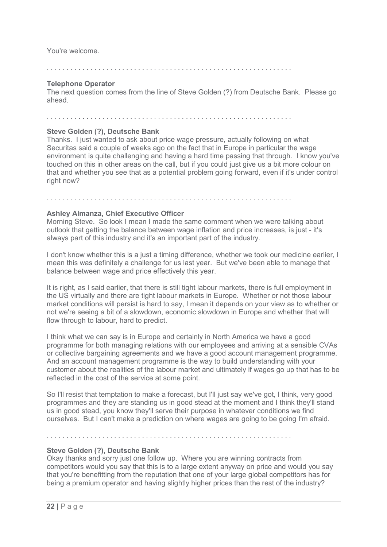You're welcome.

. . . . . . . . . . . . . . . . . . . . . . . . . . . . . . . . . . . . . . . . . . . . . . . . . . . . . . . . . . . . . .

### Telephone Operator

 The next question comes from the line of Steve Golden (?) from Deutsche Bank. Please go ahead.

. . . . . . . . . . . . . . . . . . . . . . . . . . . . . . . . . . . . . . . . . . . . . . . . . . . . . . . . . . . . . .

. . . . . . . . . . . . . . . . . . . . . . . . . . . . . . . . . . . . . . . . . . . . . . . . . . . . . . . . . . . . . .

### Steve Golden (?), Deutsche Bank

 Thanks. I just wanted to ask about price wage pressure, actually following on what Securitas said a couple of weeks ago on the fact that in Europe in particular the wage environment is quite challenging and having a hard time passing that through. I know you've touched on this in other areas on the call, but if you could just give us a bit more colour on that and whether you see that as a potential problem going forward, even if it's under control right now?

## Ashley Almanza, Chief Executive Officer

 Morning Steve. So look I mean I made the same comment when we were talking about outlook that getting the balance between wage inflation and price increases, is just - it's always part of this industry and it's an important part of the industry.

 I don't know whether this is a just a timing difference, whether we took our medicine earlier, I mean this was definitely a challenge for us last year. But we've been able to manage that balance between wage and price effectively this year.

 It is right, as I said earlier, that there is still tight labour markets, there is full employment in the US virtually and there are tight labour markets in Europe. Whether or not those labour market conditions will persist is hard to say, I mean it depends on your view as to whether or not we're seeing a bit of a slowdown, economic slowdown in Europe and whether that will flow through to labour, hard to predict.

 I think what we can say is in Europe and certainly in North America we have a good programme for both managing relations with our employees and arriving at a sensible CVAs or collective bargaining agreements and we have a good account management programme. And an account management programme is the way to build understanding with your customer about the realities of the labour market and ultimately if wages go up that has to be reflected in the cost of the service at some point.

 So I'll resist that temptation to make a forecast, but I'll just say we've got, I think, very good programmes and they are standing us in good stead at the moment and I think they'll stand us in good stead, you know they'll serve their purpose in whatever conditions we find ourselves. But I can't make a prediction on where wages are going to be going I'm afraid.

. . . . . . . . . . . . . . . . . . . . . . . . . . . . . . . . . . . . . . . . . . . . . . . . . . . . . . . . . . . . . .

## Steve Golden (?), Deutsche Bank

 Okay thanks and sorry just one follow up. Where you are winning contracts from competitors would you say that this is to a large extent anyway on price and would you say that you're benefitting from the reputation that one of your large global competitors has for being a premium operator and having slightly higher prices than the rest of the industry?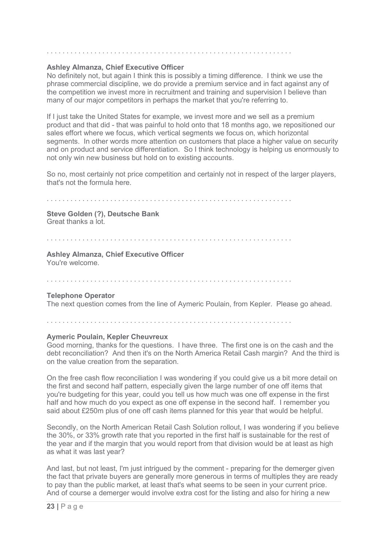### Ashley Almanza, Chief Executive Officer

 No definitely not, but again I think this is possibly a timing difference. I think we use the phrase commercial discipline, we do provide a premium service and in fact against any of the competition we invest more in recruitment and training and supervision I believe than many of our major competitors in perhaps the market that you're referring to.

. . . . . . . . . . . . . . . . . . . . . . . . . . . . . . . . . . . . . . . . . . . . . . . . . . . . . . . . . . . . . .

 If I just take the United States for example, we invest more and we sell as a premium product and that did - that was painful to hold onto that 18 months ago, we repositioned our sales effort where we focus, which vertical segments we focus on, which horizontal segments. In other words more attention on customers that place a higher value on security and on product and service differentiation. So I think technology is helping us enormously to not only win new business but hold on to existing accounts.

 So no, most certainly not price competition and certainly not in respect of the larger players, that's not the formula here.

### . . . . . . . . . . . . . . . . . . . . . . . . . . . . . . . . . . . . . . . . . . . . . . . . . . . . . . . . . . . . . .

### Steve Golden (?), Deutsche Bank Great thanks a lot.

### . . . . . . . . . . . . . . . . . . . . . . . . . . . . . . . . . . . . . . . . . . . . . . . . . . . . . . . . . . . . . .

### Ashley Almanza, Chief Executive Officer You're welcome.

. . . . . . . . . . . . . . . . . . . . . . . . . . . . . . . . . . . . . . . . . . . . . . . . . . . . . . . . . . . . . .

### Telephone Operator

The next question comes from the line of Aymeric Poulain, from Kepler. Please go ahead.

. . . . . . . . . . . . . . . . . . . . . . . . . . . . . . . . . . . . . . . . . . . . . . . . . . . . . . . . . . . . . .

### Aymeric Poulain, Kepler Cheuvreux

 Good morning, thanks for the questions. I have three. The first one is on the cash and the debt reconciliation? And then it's on the North America Retail Cash margin? And the third is on the value creation from the separation.

 On the free cash flow reconciliation I was wondering if you could give us a bit more detail on the first and second half pattern, especially given the large number of one off items that you're budgeting for this year, could you tell us how much was one off expense in the first half and how much do you expect as one off expense in the second half. I remember you said about £250m plus of one off cash items planned for this year that would be helpful.

 Secondly, on the North American Retail Cash Solution rollout, I was wondering if you believe the 30%, or 33% growth rate that you reported in the first half is sustainable for the rest of the year and if the margin that you would report from that division would be at least as high as what it was last year?

 And last, but not least, I'm just intrigued by the comment - preparing for the demerger given the fact that private buyers are generally more generous in terms of multiples they are ready to pay than the public market, at least that's what seems to be seen in your current price. And of course a demerger would involve extra cost for the listing and also for hiring a new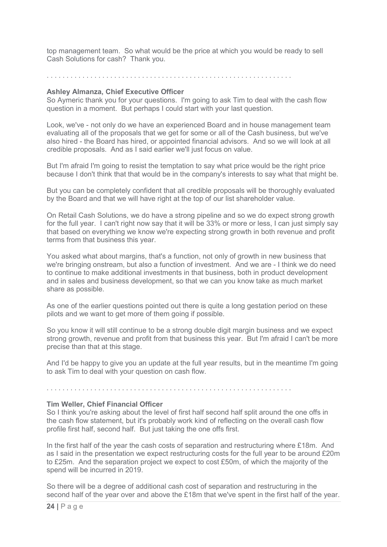top management team. So what would be the price at which you would be ready to sell Cash Solutions for cash? Thank you.

. . . . . . . . . . . . . . . . . . . . . . . . . . . . . . . . . . . . . . . . . . . . . . . . . . . . . . . . . . . . . .

### Ashley Almanza, Chief Executive Officer

 So Aymeric thank you for your questions. I'm going to ask Tim to deal with the cash flow question in a moment. But perhaps I could start with your last question.

 Look, we've - not only do we have an experienced Board and in house management team evaluating all of the proposals that we get for some or all of the Cash business, but we've also hired - the Board has hired, or appointed financial advisors. And so we will look at all credible proposals. And as I said earlier we'll just focus on value.

 But I'm afraid I'm going to resist the temptation to say what price would be the right price because I don't think that that would be in the company's interests to say what that might be.

 But you can be completely confident that all credible proposals will be thoroughly evaluated by the Board and that we will have right at the top of our list shareholder value.

 On Retail Cash Solutions, we do have a strong pipeline and so we do expect strong growth for the full year. I can't right now say that it will be 33% or more or less, I can just simply say that based on everything we know we're expecting strong growth in both revenue and profit terms from that business this year.

 You asked what about margins, that's a function, not only of growth in new business that we're bringing onstream, but also a function of investment. And we are - I think we do need to continue to make additional investments in that business, both in product development and in sales and business development, so that we can you know take as much market share as possible.

 As one of the earlier questions pointed out there is quite a long gestation period on these pilots and we want to get more of them going if possible.

 So you know it will still continue to be a strong double digit margin business and we expect strong growth, revenue and profit from that business this year. But I'm afraid I can't be more precise than that at this stage.

 And I'd be happy to give you an update at the full year results, but in the meantime I'm going to ask Tim to deal with your question on cash flow.

. . . . . . . . . . . . . . . . . . . . . . . . . . . . . . . . . . . . . . . . . . . . . . . . . . . . . . . . . . . . . .

### Tim Weller, Chief Financial Officer

 So I think you're asking about the level of first half second half split around the one offs in the cash flow statement, but it's probably work kind of reflecting on the overall cash flow profile first half, second half. But just taking the one offs first.

 In the first half of the year the cash costs of separation and restructuring where £18m. And as I said in the presentation we expect restructuring costs for the full year to be around £20m to £25m. And the separation project we expect to cost £50m, of which the majority of the spend will be incurred in 2019.

 So there will be a degree of additional cash cost of separation and restructuring in the second half of the year over and above the £18m that we've spent in the first half of the year.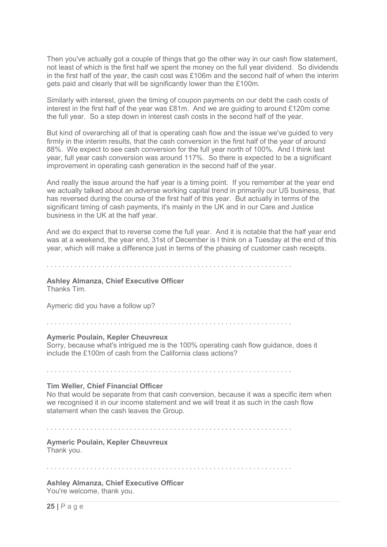Then you've actually got a couple of things that go the other way in our cash flow statement, not least of which is the first half we spent the money on the full year dividend. So dividends in the first half of the year, the cash cost was £106m and the second half of when the interim gets paid and clearly that will be significantly lower than the £100m.

 Similarly with interest, given the timing of coupon payments on our debt the cash costs of interest in the first half of the year was £81m. And we are guiding to around £120m come the full year. So a step down in interest cash costs in the second half of the year.

 But kind of overarching all of that is operating cash flow and the issue we've guided to very firmly in the interim results, that the cash conversion in the first half of the year of around 88%. We expect to see cash conversion for the full year north of 100%. And I think last year, full year cash conversion was around 117%. So there is expected to be a significant improvement in operating cash generation in the second half of the year.

 And really the issue around the half year is a timing point. If you remember at the year end we actually talked about an adverse working capital trend in primarily our US business, that has reversed during the course of the first half of this year. But actually in terms of the significant timing of cash payments, it's mainly in the UK and in our Care and Justice business in the UK at the half year.

 And we do expect that to reverse come the full year. And it is notable that the half year end was at a weekend, the year end, 31st of December is I think on a Tuesday at the end of this year, which will make a difference just in terms of the phasing of customer cash receipts.

. . . . . . . . . . . . . . . . . . . . . . . . . . . . . . . . . . . . . . . . . . . . . . . . . . . . . . . . . . . . . .

### Ashley Almanza, Chief Executive Officer

Thanks Tim.

Aymeric did you have a follow up?

. . . . . . . . . . . . . . . . . . . . . . . . . . . . . . . . . . . . . . . . . . . . . . . . . . . . . . . . . . . . . .

### Aymeric Poulain, Kepler Cheuvreux

 Sorry, because what's intrigued me is the 100% operating cash flow guidance, does it include the £100m of cash from the California class actions?

. . . . . . . . . . . . . . . . . . . . . . . . . . . . . . . . . . . . . . . . . . . . . . . . . . . . . . . . . . . . . .

### Tim Weller, Chief Financial Officer

 No that would be separate from that cash conversion, because it was a specific item when we recognised it in our income statement and we will treat it as such in the cash flow statement when the cash leaves the Group.

. . . . . . . . . . . . . . . . . . . . . . . . . . . . . . . . . . . . . . . . . . . . . . . . . . . . . . . . . . . . . .

### Aymeric Poulain, Kepler Cheuvreux Thank you.

. . . . . . . . . . . . . . . . . . . . . . . . . . . . . . . . . . . . . . . . . . . . . . . . . . . . . . . . . . . . . .

### Ashley Almanza, Chief Executive Officer You're welcome, thank you.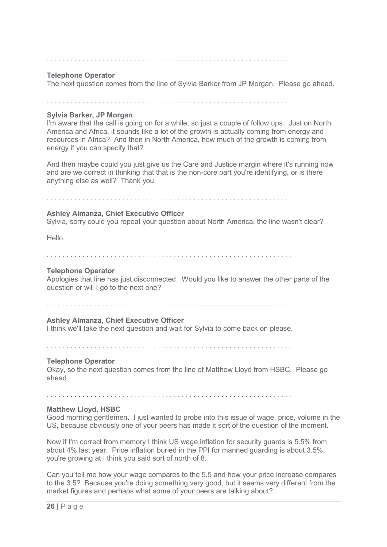### Telephone Operator

The next question comes from the line of Sylvia Barker from JP Morgan. Please go ahead.

. . . . . . . . . . . . . . . . . . . . . . . . . . . . . . . . . . . . . . . . . . . . . . . . . . . . . . . . . . . . . .

### Sylvia Barker, JP Morgan

 I'm aware that the call is going on for a while, so just a couple of follow ups. Just on North America and Africa, it sounds like a lot of the growth is actually coming from energy and resources in Africa? And then in North America, how much of the growth is coming from energy if you can specify that?

 And then maybe could you just give us the Care and Justice margin where it's running now and are we correct in thinking that that is the non-core part you're identifying, or is there anything else as well? Thank you.

### . . . . . . . . . . . . . . . . . . . . . . . . . . . . . . . . . . . . . . . . . . . . . . . . . . . . . . . . . . . . . .

### Ashley Almanza, Chief Executive Officer

Sylvia, sorry could you repeat your question about North America, the line wasn't clear?

Hello.

### . . . . . . . . . . . . . . . . . . . . . . . . . . . . . . . . . . . . . . . . . . . . . . . . . . . . . . . . . . . . . .

### Telephone Operator

 Apologies that line has just disconnected. Would you like to answer the other parts of the question or will I go to the next one?

. . . . . . . . . . . . . . . . . . . . . . . . . . . . . . . . . . . . . . . . . . . . . . . . . . . . . . . . . . . . . .

### Ashley Almanza, Chief Executive Officer

I think we'll take the next question and wait for Sylvia to come back on please.

. . . . . . . . . . . . . . . . . . . . . . . . . . . . . . . . . . . . . . . . . . . . . . . . . . . . . . . . . . . . . .

### Telephone Operator

 Okay, so the next question comes from the line of Matthew Lloyd from HSBC. Please go ahead.

. . . . . . . . . . . . . . . . . . . . . . . . . . . . . . . . . . . . . . . . . . . . . . . . . . . . . . . . . . . . . .

### Matthew Lloyd, HSBC

 Good morning gentlemen. I just wanted to probe into this issue of wage, price, volume in the US, because obviously one of your peers has made it sort of the question of the moment.

 Now if I'm correct from memory I think US wage inflation for security guards is 5.5% from about 4% last year. Price inflation buried in the PPI for manned guarding is about 3.5%, you're growing at I think you said sort of north of 8.

 Can you tell me how your wage compares to the 5.5 and how your price increase compares to the 3.5? Because you're doing something very good, but it seems very different from the market figures and perhaps what some of your peers are talking about?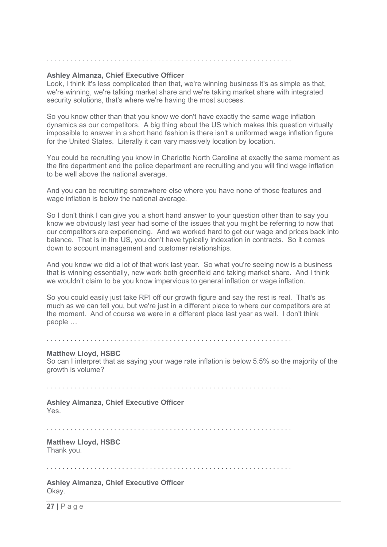### Ashley Almanza, Chief Executive Officer

 Look, I think it's less complicated than that, we're winning business it's as simple as that, we're winning, we're talking market share and we're taking market share with integrated security solutions, that's where we're having the most success.

. . . . . . . . . . . . . . . . . . . . . . . . . . . . . . . . . . . . . . . . . . . . . . . . . . . . . . . . . . . . . .

 So you know other than that you know we don't have exactly the same wage inflation dynamics as our competitors. A big thing about the US which makes this question virtually impossible to answer in a short hand fashion is there isn't a uniformed wage inflation figure for the United States. Literally it can vary massively location by location.

 You could be recruiting you know in Charlotte North Carolina at exactly the same moment as the fire department and the police department are recruiting and you will find wage inflation to be well above the national average.

 And you can be recruiting somewhere else where you have none of those features and wage inflation is below the national average.

 So I don't think I can give you a short hand answer to your question other than to say you know we obviously last year had some of the issues that you might be referring to now that our competitors are experiencing. And we worked hard to get our wage and prices back into balance. That is in the US, you don't have typically indexation in contracts. So it comes down to account management and customer relationships.

 And you know we did a lot of that work last year. So what you're seeing now is a business that is winning essentially, new work both greenfield and taking market share. And I think we wouldn't claim to be you know impervious to general inflation or wage inflation.

 So you could easily just take RPI off our growth figure and say the rest is real. That's as much as we can tell you, but we're just in a different place to where our competitors are at the moment. And of course we were in a different place last year as well. I don't think people …

. . . . . . . . . . . . . . . . . . . . . . . . . . . . . . . . . . . . . . . . . . . . . . . . . . . . . . . . . . . . . .

### Matthew Lloyd, HSBC

 So can I interpret that as saying your wage rate inflation is below 5.5% so the majority of the growth is volume?

. . . . . . . . . . . . . . . . . . . . . . . . . . . . . . . . . . . . . . . . . . . . . . . . . . . . . . . . . . . . . .

### Ashley Almanza, Chief Executive Officer Yes.

. . . . . . . . . . . . . . . . . . . . . . . . . . . . . . . . . . . . . . . . . . . . . . . . . . . . . . . . . . . . . .

 Matthew Lloyd, HSBC Thank you.

. . . . . . . . . . . . . . . . . . . . . . . . . . . . . . . . . . . . . . . . . . . . . . . . . . . . . . . . . . . . . .

 Ashley Almanza, Chief Executive Officer Okay.